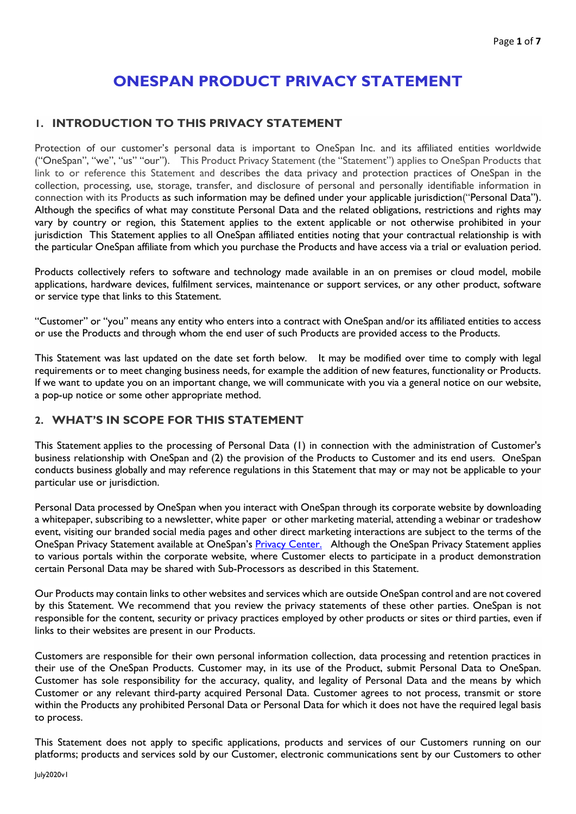# **ONESPAN PRODUCT PRIVACY STATEMENT**

#### **1. INTRODUCTION TO THIS PRIVACY STATEMENT**

Protection of our customer's personal data is important to OneSpan Inc. and its affiliated entities worldwide ("OneSpan", "we", "us" "our"). This Product Privacy Statement (the "Statement") applies to OneSpan Products that link to or reference this Statement and describes the data privacy and protection practices of OneSpan in the collection, processing, use, storage, transfer, and disclosure of personal and personally identifiable information in connection with its Products as such information may be defined under your applicable jurisdiction("Personal Data"). Although the specifics of what may constitute Personal Data and the related obligations, restrictions and rights may vary by country or region, this Statement applies to the extent applicable or not otherwise prohibited in your jurisdiction This Statement applies to all OneSpan affiliated entities noting that your contractual relationship is with the particular OneSpan affiliate from which you purchase the Products and have access via a trial or evaluation period.

Products collectively refers to software and technology made available in an on premises or cloud model, mobile applications, hardware devices, fulfilment services, maintenance or support services, or any other product, software or service type that links to this Statement.

"Customer" or "you" means any entity who enters into a contract with OneSpan and/or its affiliated entities to access or use the Products and through whom the end user of such Products are provided access to the Products.

This Statement was last updated on the date set forth below. It may be modified over time to comply with legal requirements or to meet changing business needs, for example the addition of new features, functionality or Products. If we want to update you on an important change, we will communicate with you via a general notice on our website, a pop-up notice or some other appropriate method.

#### **2. WHAT'S IN SCOPE FOR THIS STATEMENT**

This Statement applies to the processing of Personal Data (1) in connection with the administration of Customer's business relationship with OneSpan and (2) the provision of the Products to Customer and its end users. OneSpan conducts business globally and may reference regulations in this Statement that may or may not be applicable to your particular use or jurisdiction.

Personal Data processed by OneSpan when you interact with OneSpan through its corporate website by downloading a whitepaper, subscribing to a newsletter, white paper or other marketing material, attending a webinar or tradeshow event, visiting our branded social media pages and other direct marketing interactions are subject to the terms of the OneSpan Privacy Statement available at OneSpan's [Privacy Center.](https://ospn-my.sharepoint.com/personal/capodmj1_corp_onespan_com/Documents/Data%20Privacy/Product%20Privacy%20Pages/Privacy%20Center) Although the OneSpan Privacy Statement applies to various portals within the corporate website, where Customer elects to participate in a product demonstration certain Personal Data may be shared with Sub-Processors as described in this Statement.

Our Products may contain links to other websites and services which are outside OneSpan control and are not covered by this Statement. We recommend that you review the privacy statements of these other parties. OneSpan is not responsible for the content, security or privacy practices employed by other products or sites or third parties, even if links to their websites are present in our Products.

Customers are responsible for their own personal information collection, data processing and retention practices in their use of the OneSpan Products. Customer may, in its use of the Product, submit Personal Data to OneSpan. Customer has sole responsibility for the accuracy, quality, and legality of Personal Data and the means by which Customer or any relevant third-party acquired Personal Data. Customer agrees to not process, transmit or store within the Products any prohibited Personal Data or Personal Data for which it does not have the required legal basis to process.

This Statement does not apply to specific applications, products and services of our Customers running on our platforms; products and services sold by our Customer, electronic communications sent by our Customers to other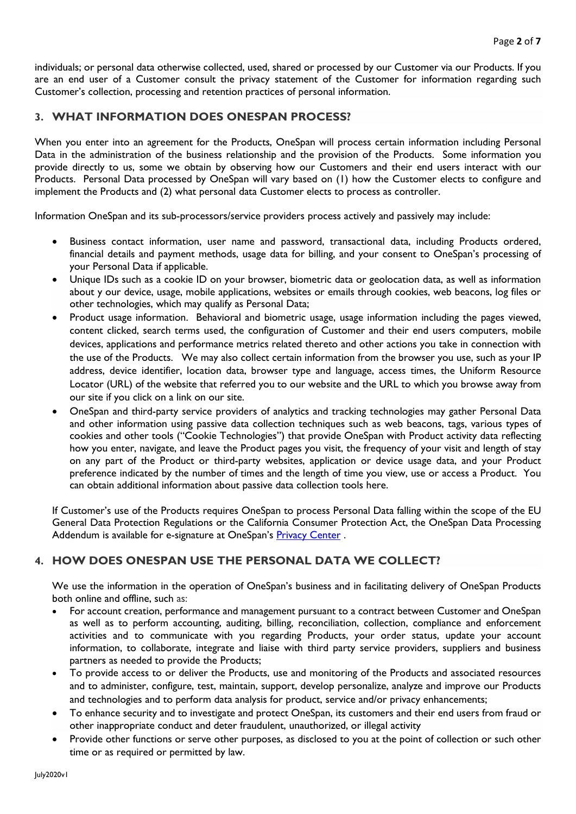individuals; or personal data otherwise collected, used, shared or processed by our Customer via our Products. If you are an end user of a Customer consult the privacy statement of the Customer for information regarding such Customer's collection, processing and retention practices of personal information.

#### **3. WHAT INFORMATION DOES ONESPAN PROCESS?**

When you enter into an agreement for the Products, OneSpan will process certain information including Personal Data in the administration of the business relationship and the provision of the Products. Some information you provide directly to us, some we obtain by observing how our Customers and their end users interact with our Products. Personal Data processed by OneSpan will vary based on (1) how the Customer elects to configure and implement the Products and (2) what personal data Customer elects to process as controller.

Information OneSpan and its sub-processors/service providers process actively and passively may include:

- Business contact information, user name and password, transactional data, including Products ordered, financial details and payment methods, usage data for billing, and your consent to OneSpan's processing of your Personal Data if applicable.
- Unique IDs such as a cookie ID on your browser, biometric data or geolocation data, as well as information about y our device, usage, mobile applications, websites or emails through cookies, web beacons, log files or other technologies, which may qualify as Personal Data;
- Product usage information. Behavioral and biometric usage, usage information including the pages viewed, content clicked, search terms used, the configuration of Customer and their end users computers, mobile devices, applications and performance metrics related thereto and other actions you take in connection with the use of the Products. We may also collect certain information from the browser you use, such as your IP address, device identifier, location data, browser type and language, access times, the Uniform Resource Locator (URL) of the website that referred you to our website and the URL to which you browse away from our site if you click on a link on our site.
- OneSpan and third-party service providers of analytics and tracking technologies may gather Personal Data and other information using passive data collection techniques such as web beacons, tags, various types of cookies and other tools ("Cookie Technologies") that provide OneSpan with Product activity data reflecting how you enter, navigate, and leave the Product pages you visit, the frequency of your visit and length of stay on any part of the Product or third-party websites, application or device usage data, and your Product preference indicated by the number of times and the length of time you view, use or access a Product. You can obtain additional information about passive data collection tools here.

If Customer's use of the Products requires OneSpan to process Personal Data falling within the scope of the EU General Data Protection Regulations or the California Consumer Protection Act, the OneSpan Data Processing Addendum is available for e-signature [at](https://ahoy.twilio.com/gdpr) OneSpan's [Privacy Center](https://ospn-my.sharepoint.com/personal/capodmj1_corp_onespan_com/Documents/Data%20Privacy/Product%20Privacy%20Pages/Privacy%20Center).

#### **4. HOW DOES ONESPAN USE THE PERSONAL DATA WE COLLECT?**

We use the information in the operation of OneSpan's business and in facilitating delivery of OneSpan Products both online and offline, such as:

- For account creation, performance and management pursuant to a contract between Customer and OneSpan as well as to perform accounting, auditing, billing, reconciliation, collection, compliance and enforcement activities and to communicate with you regarding Products, your order status, update your account information, to collaborate, integrate and liaise with third party service providers, suppliers and business partners as needed to provide the Products;
- To provide access to or deliver the Products, use and monitoring of the Products and associated resources and to administer, configure, test, maintain, support, develop personalize, analyze and improve our Products and technologies and to perform data analysis for product, service and/or privacy enhancements;
- To enhance security and to investigate and protect OneSpan, its customers and their end users from fraud or other inappropriate conduct and deter fraudulent, unauthorized, or illegal activity
- Provide other functions or serve other purposes, as disclosed to you at the point of collection or such other time or as required or permitted by law.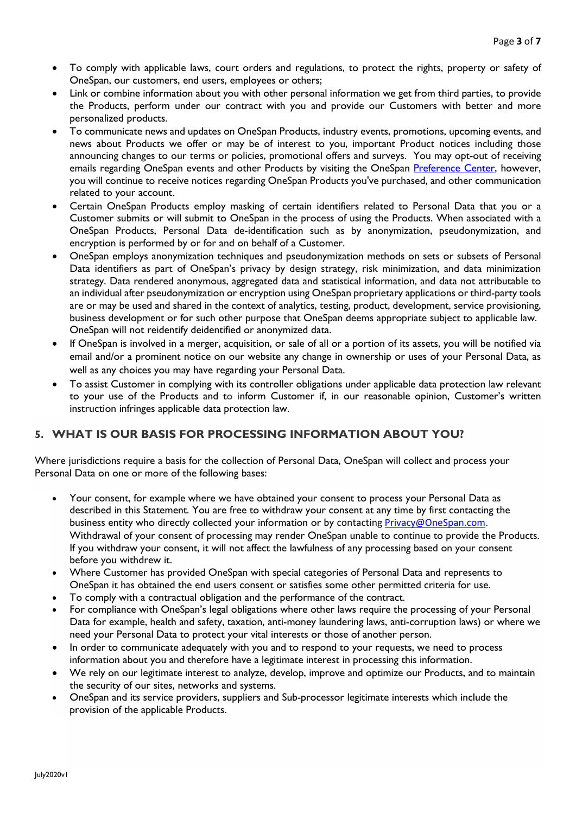- To comply with applicable laws, court orders and regulations, to protect the rights, property or safety of OneSpan, our customers, end users, employees or others;
- Link or combine information about you with other personal information we get from third parties, to provide the Products, perform under our contract with you and provide our Customers with better and more personalized products.
- To communicate news and updates on OneSpan Products, industry events, promotions, upcoming events, and news about Products we offer or may be of interest to you, important Product notices including those announcing changes to our terms or policies, promotional offers and surveys. You may opt-out of receiving emails regarding OneSpan events and other Products by visiting the OneSpan [Preference Center,](https://ospn-my.sharepoint.com/personal/capodmj1_corp_onespan_com/Documents/Data%20Privacy/Product%20Privacy%20Pages/Preference%20Center) however, you will continue to receive notices regarding OneSpan Products you've purchased, and other communication related to your account.
- Certain OneSpan Products employ masking of certain identifiers related to Personal Data that you or a Customer submits or will submit to OneSpan in the process of using the Products. When associated with a OneSpan Products, Personal Data de-identification such as by anonymization, pseudonymization, and encryption is performed by or for and on behalf of a Customer.
- OneSpan employs anonymization techniques and pseudonymization methods on sets or subsets of Personal Data identifiers as part of OneSpan's privacy by design strategy, risk minimization, and data minimization strategy. Data rendered anonymous, aggregated data and statistical information, and data not attributable to an individual after pseudonymization or encryption using OneSpan proprietary applications or third-party tools are or may be used and shared in the context of analytics, testing, product, development, service provisioning, business development or for such other purpose that OneSpan deems appropriate subject to applicable law. OneSpan will not reidentify deidentified or anonymized data.
- If OneSpan is involved in a merger, acquisition, or sale of all or a portion of its assets, you will be notified via email and/or a prominent notice on our website any change in ownership or uses of your Personal Data, as well as any choices you may have regarding your Personal Data.
- To assist Customer in complying with its controller obligations under applicable data protection law relevant to your use of the Products and to inform Customer if, in our reasonable opinion, Customer's written instruction infringes applicable data protection law.

# **5. WHAT IS OUR BASIS FOR PROCESSING INFORMATION ABOUT YOU?**

Where jurisdictions require a basis for the collection of Personal Data, OneSpan will collect and process your Personal Data on one or more of the following bases:

- Your consent, for example where we have obtained your consent to process your Personal Data as described in this Statement. You are free to withdraw your consent at any time by first contacting the business entity who directly collected your information or by contacting [Privacy@OneSpan.com.](mailto:Privacy@OneSpan.com) Withdrawal of your consent of processing may render OneSpan unable to continue to provide the Products. If you withdraw your consent, it will not affect the lawfulness of any processing based on your consent before you withdrew it.
- Where Customer has provided OneSpan with special categories of Personal Data and represents to OneSpan it has obtained the end users consent or satisfies some other permitted criteria for use.
- To comply with a contractual obligation and the performance of the contract.
- For compliance with OneSpan's legal obligations where other laws require the processing of your Personal Data for example, health and safety, taxation, anti-money laundering laws, anti-corruption laws) or where we need your Personal Data to protect your vital interests or those of another person.
- In order to communicate adequately with you and to respond to your requests, we need to process information about you and therefore have a legitimate interest in processing this information.
- We rely on our legitimate interest to analyze, develop, improve and optimize our Products, and to maintain the security of our sites, networks and systems.
- OneSpan and its service providers, suppliers and Sub-processor legitimate interests which include the provision of the applicable Products.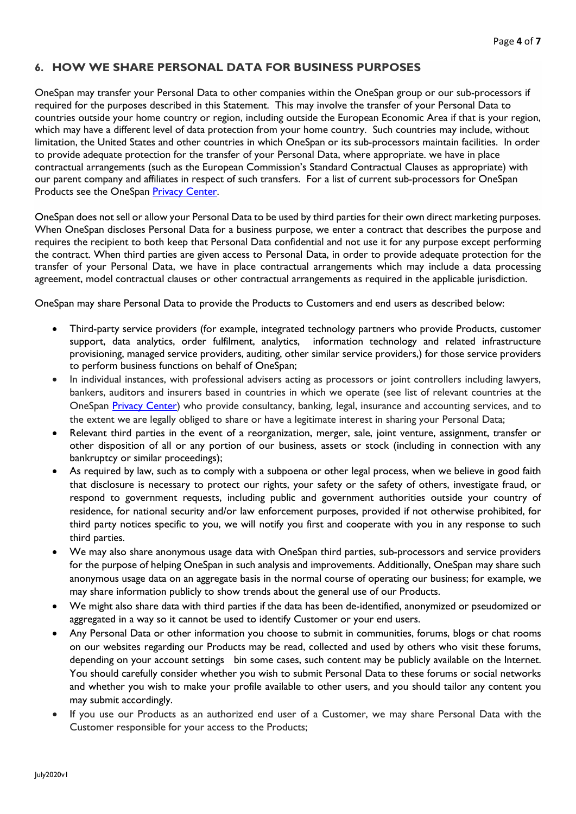#### **6. HOW WE SHARE PERSONAL DATA FOR BUSINESS PURPOSES**

OneSpan may transfer your Personal Data to other companies within the OneSpan group or our sub-processors if required for the purposes described in this Statement. This may involve the transfer of your Personal Data to countries outside your home country or region, including outside the European Economic Area if that is your region, which may have a different level of data protection from your home country. Such countries may include, without limitation, the United States and other countries in which OneSpan or its sub-processors maintain facilities. In order to provide adequate protection for the transfer of your Personal Data, where appropriate. we have in place contractual arrangements (such as the European Commission's Standard Contractual Clauses as appropriate) with our parent company and affiliates in respect of such transfers. For a list of current sub-processors for OneSpan Products see the OneSpan [Privacy Center.](https://ospn-my.sharepoint.com/personal/capodmj1_corp_onespan_com/Documents/Data%20Privacy/Product%20Privacy%20Pages/Privacy%20Center)

OneSpan does not sell or allow your Personal Data to be used by third parties for their own direct marketing purposes. When OneSpan discloses Personal Data for a business purpose, we enter a contract that describes the purpose and requires the recipient to both keep that Personal Data confidential and not use it for any purpose except performing the contract. When third parties are given access to Personal Data, in order to provide adequate protection for the transfer of your Personal Data, we have in place contractual arrangements which may include a data processing agreement, model contractual clauses or other contractual arrangements as required in the applicable jurisdiction.

OneSpan may share Personal Data to provide the Products to Customers and end users as described below:

- Third-party service providers (for example, integrated technology partners who provide Products, customer support, data analytics, order fulfilment, analytics, information technology and related infrastructure provisioning, managed service providers, auditing, other similar service providers,) for those service providers to perform business functions on behalf of OneSpan;
- In individual instances, with professional advisers acting as processors or joint controllers including lawyers, bankers, auditors and insurers based in countries in which we operate (see list of relevant countries at the OneSpan [Privacy Center\)](https://ospn-my.sharepoint.com/personal/capodmj1_corp_onespan_com/Documents/Data%20Privacy/Product%20Privacy%20Pages/Privacy%20Center) who provide consultancy, banking, legal, insurance and accounting services, and to the extent we are legally obliged to share or have a legitimate interest in sharing your Personal Data;
- Relevant third parties in the event of a reorganization, merger, sale, joint venture, assignment, transfer or other disposition of all or any portion of our business, assets or stock (including in connection with any bankruptcy or similar proceedings);
- As required by law, such as to comply with a subpoena or other legal process, when we believe in good faith that disclosure is necessary to protect our rights, your safety or the safety of others, investigate fraud, or respond to government requests, including public and government authorities outside your country of residence, for national security and/or law enforcement purposes, provided if not otherwise prohibited, for third party notices specific to you, we will notify you first and cooperate with you in any response to such third parties.
- We may also share anonymous usage data with OneSpan third parties, sub-processors and service providers for the purpose of helping OneSpan in such analysis and improvements. Additionally, OneSpan may share such anonymous usage data on an aggregate basis in the normal course of operating our business; for example, we may share information publicly to show trends about the general use of our Products.
- We might also share data with third parties if the data has been de-identified, anonymized or pseudomized or aggregated in a way so it cannot be used to identify Customer or your end users.
- Any Personal Data or other information you choose to submit in communities, forums, blogs or chat rooms on our websites regarding our Products may be read, collected and used by others who visit these forums, depending on your account settings bin some cases, such content may be publicly available on the Internet. You should carefully consider whether you wish to submit Personal Data to these forums or social networks and whether you wish to make your profile available to other users, and you should tailor any content you may submit accordingly.
- If you use our Products as an authorized end user of a Customer, we may share Personal Data with the Customer responsible for your access to the Products;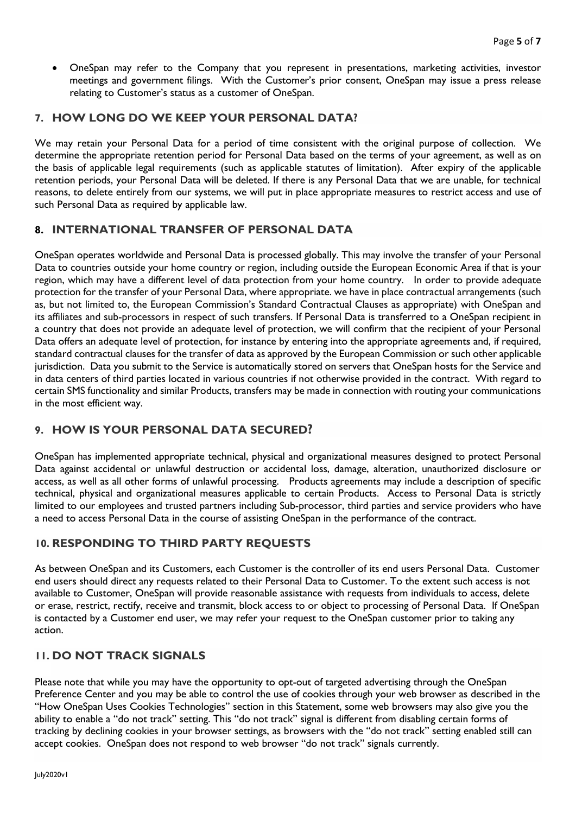• OneSpan may refer to the Company that you represent in presentations, marketing activities, investor meetings and government filings. With the Customer's prior consent, OneSpan may issue a press release relating to Customer's status as a customer of OneSpan.

#### **7. HOW LONG DO WE KEEP YOUR PERSONAL DATA?**

We may retain your Personal Data for a period of time consistent with the original purpose of collection. We determine the appropriate retention period for Personal Data based on the terms of your agreement, as well as on the basis of applicable legal requirements (such as applicable statutes of limitation). After expiry of the applicable retention periods, your Personal Data will be deleted. If there is any Personal Data that we are unable, for technical reasons, to delete entirely from our systems, we will put in place appropriate measures to restrict access and use of such Personal Data as required by applicable law.

# **8. INTERNATIONAL TRANSFER OF PERSONAL DATA**

OneSpan operates worldwide and Personal Data is processed globally. This may involve the transfer of your Personal Data to countries outside your home country or region, including outside the European Economic Area if that is your region, which may have a different level of data protection from your home country. In order to provide adequate protection for the transfer of your Personal Data, where appropriate. we have in place contractual arrangements (such as, but not limited to, the European Commission's Standard Contractual Clauses as appropriate) with OneSpan and its affiliates and sub-processors in respect of such transfers. If Personal Data is transferred to a OneSpan recipient in a country that does not provide an adequate level of protection, we will confirm that the recipient of your Personal Data offers an adequate level of protection, for instance by entering into the appropriate agreements and, if required, standard contractual clauses for the transfer of data as approved by the European Commission or such other applicable jurisdiction. Data you submit to the Service is automatically stored on servers that OneSpan hosts for the Service and in data centers of third parties located in various countries if not otherwise provided in the contract. With regard to certain SMS functionality and similar Products, transfers may be made in connection with routing your communications in the most efficient way.

# **9. HOW IS YOUR PERSONAL DATA SECURED?**

OneSpan has implemented appropriate technical, physical and organizational measures designed to protect Personal Data against accidental or unlawful destruction or accidental loss, damage, alteration, unauthorized disclosure or access, as well as all other forms of unlawful processing. Products agreements may include a description of specific technical, physical and organizational measures applicable to certain Products. Access to Personal Data is strictly limited to our employees and trusted partners including Sub-processor, third parties and service providers who have a need to access Personal Data in the course of assisting OneSpan in the performance of the contract.

# **10. RESPONDING TO THIRD PARTY REQUESTS**

As between OneSpan and its Customers, each Customer is the controller of its end users Personal Data. Customer end users should direct any requests related to their Personal Data to Customer. To the extent such access is not available to Customer, OneSpan will provide reasonable assistance with requests from individuals to access, delete or erase, restrict, rectify, receive and transmit, block access to or object to processing of Personal Data. If OneSpan is contacted by a Customer end user, we may refer your request to the OneSpan customer prior to taking any action.

# **11. DO NOT TRACK SIGNALS**

Please note that while you may have the opportunity to opt-out of targeted advertising through the OneSpan Preference Center and you may be able to control the use of cookies through your web browser as described in the "How OneSpan Uses Cookies Technologies" section in this Statement, some web browsers may also give you the ability to enable a "do not track" setting. This "do not track" signal is different from disabling certain forms of tracking by declining cookies in your browser settings, as browsers with the "do not track" setting enabled still can accept cookies. OneSpan does not respond to web browser "do not track" signals currently.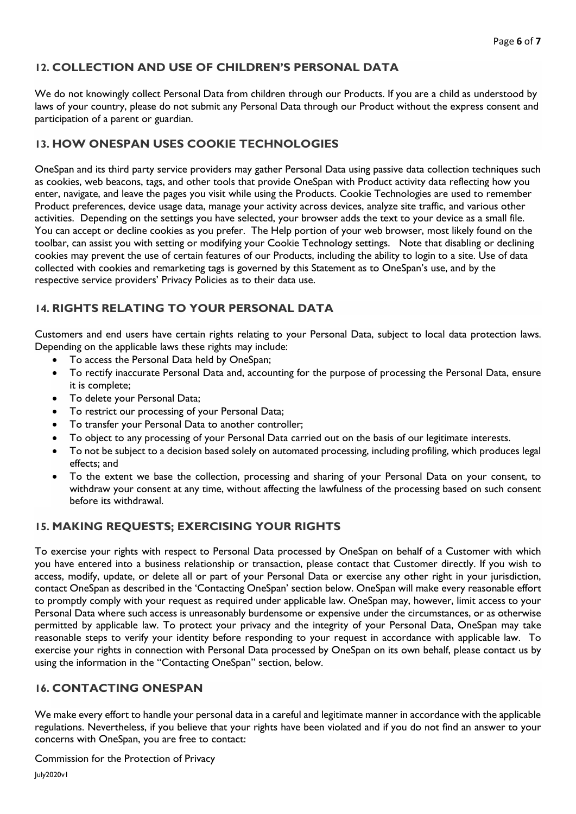# **12. COLLECTION AND USE OF CHILDREN'S PERSONAL DATA**

We do not knowingly collect Personal Data from children through our Products. If you are a child as understood by laws of your country, please do not submit any Personal Data through our Product without the express consent and participation of a parent or guardian.

#### **13. HOW ONESPAN USES COOKIE TECHNOLOGIES**

OneSpan and its third party service providers may gather Personal Data using passive data collection techniques such as cookies, web beacons, tags, and other tools that provide OneSpan with Product activity data reflecting how you enter, navigate, and leave the pages you visit while using the Products. Cookie Technologies are used to remember Product preferences, device usage data, manage your activity across devices, analyze site traffic, and various other activities. Depending on the settings you have selected, your browser adds the text to your device as a small file. You can accept or decline cookies as you prefer. The Help portion of your web browser, most likely found on the toolbar, can assist you with setting or modifying your Cookie Technology settings. Note that disabling or declining cookies may prevent the use of certain features of our Products, including the ability to login to a site. Use of data collected with cookies and remarketing tags is governed by this Statement as to OneSpan's use, and by the respective service providers' Privacy Policies as to their data use.

# **14. RIGHTS RELATING TO YOUR PERSONAL DATA**

Customers and end users have certain rights relating to your Personal Data, subject to local data protection laws. Depending on the applicable laws these rights may include:

- To access the Personal Data held by OneSpan;
- To rectify inaccurate Personal Data and, accounting for the purpose of processing the Personal Data, ensure it is complete;
- To delete your Personal Data;
- To restrict our processing of your Personal Data;
- To transfer your Personal Data to another controller;
- To object to any processing of your Personal Data carried out on the basis of our legitimate interests.
- To not be subject to a decision based solely on automated processing, including profiling, which produces legal effects; and
- To the extent we base the collection, processing and sharing of your Personal Data on your consent, to withdraw your consent at any time, without affecting the lawfulness of the processing based on such consent before its withdrawal.

# **15. MAKING REQUESTS; EXERCISING YOUR RIGHTS**

To exercise your rights with respect to Personal Data processed by OneSpan on behalf of a Customer with which you have entered into a business relationship or transaction, please contact that Customer directly. If you wish to access, modify, update, or delete all or part of your Personal Data or exercise any other right in your jurisdiction, contact OneSpan as described in the 'Contacting OneSpan' section below. OneSpan will make every reasonable effort to promptly comply with your request as required under applicable law. OneSpan may, however, limit access to your Personal Data where such access is unreasonably burdensome or expensive under the circumstances, or as otherwise permitted by applicable law. To protect your privacy and the integrity of your Personal Data, OneSpan may take reasonable steps to verify your identity before responding to your request in accordance with applicable law. To exercise your rights in connection with Personal Data processed by OneSpan on its own behalf, please contact us by using the information in the "Contacting OneSpan" section, below.

#### **16. CONTACTING ONESPAN**

We make every effort to handle your personal data in a careful and legitimate manner in accordance with the applicable regulations. Nevertheless, if you believe that your rights have been violated and if you do not find an answer to your concerns with OneSpan, you are free to contact:

Commission for the Protection of Privacy

July2020v1